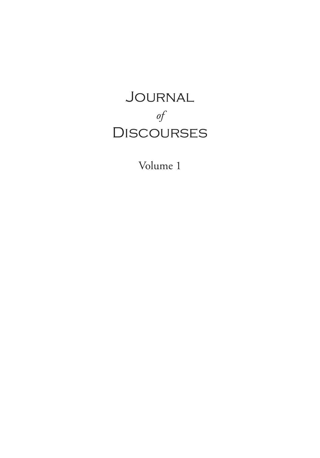# Journal *of* **DISCOURSES**

Volume 1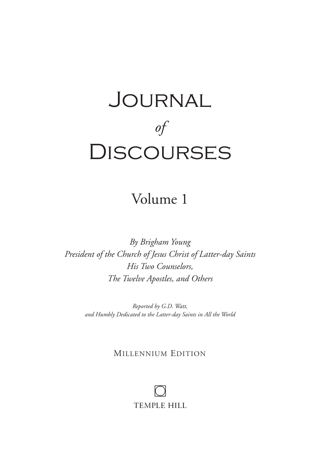# Journal *of* **DISCOURSES**

Volume 1

*By Brigham Young President of the Church of Jesus Christ of Latter-day Saints His Two Counselors, The Twelve Apostles, and Others*

> *Reported by G.D. Watt, and Humbly Dedicated to the Latter-day Saints in All the World*

### MILLENNIUM EDITION

**TEMPLE HILL**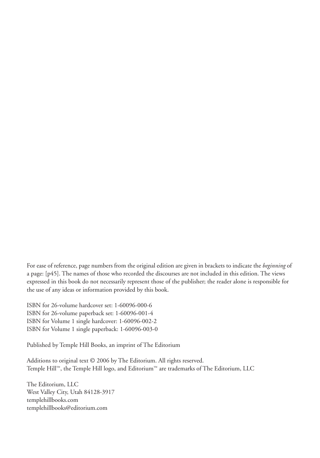For ease of reference, page numbers from the original edition are given in brackets to indicate the *beginning* of a page: [p45]. The names of those who recorded the discourses are not included in this edition. The views expressed in this book do not necessarily represent those of the publisher; the reader alone is responsible for the use of any ideas or information provided by this book.

ISBN for 26-volume hardcover set: 1-60096-000-6 ISBN for 26-volume paperback set: 1-60096-001-4 ISBN for Volume 1 single hardcover: 1-60096-002-2 ISBN for Volume 1 single paperback: 1-60096-003-0

Published by Temple Hill Books, an imprint of The Editorium

Additions to original text © 2006 by The Editorium. All rights reserved. Temple Hill™, the Temple Hill logo, and Editorium™ are trademarks of The Editorium, LLC

The Editorium, LLC West Valley City, Utah 84128-3917 templehillbooks.com templehillbooks@editorium.com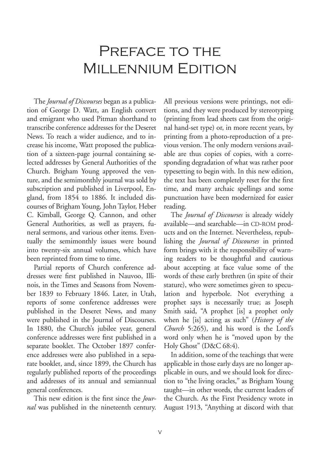### Preface to the Millennium Edition

The *Journal of Discourses* began as a publication of George D. Watt, an English convert and emigrant who used Pitman shorthand to transcribe conference addresses for the Deseret News. To reach a wider audience, and to increase his income, Watt proposed the publication of a sixteen-page journal containing selected addresses by General Authorities of the Church. Brigham Young approved the venture, and the semimonthly journal was sold by subscription and published in Liverpool, England, from 1854 to 1886. It included discourses of Brigham Young, John Taylor, Heber C. Kimball, George Q. Cannon, and other General Authorities, as well as prayers, funeral sermons, and various other items. Eventually the semimonthly issues were bound into twenty-six annual volumes, which have been reprinted from time to time.

Partial reports of Church conference addresses were first published in Nauvoo, Illinois, in the Times and Seasons from November 1839 to February 1846. Later, in Utah, reports of some conference addresses were published in the Deseret News, and many were published in the Journal of Discourses. In 1880, the Church's jubilee year, general conference addresses were first published in a separate booklet. The October 1897 conference addresses were also published in a separate booklet, and, since 1899, the Church has regularly published reports of the proceedings and addresses of its annual and semiannual general conferences.

This new edition is the first since the *Journal* was published in the nineteenth century. All previous versions were printings, not editions, and they were produced by stereotyping (printing from lead sheets cast from the original hand-set type) or, in more recent years, by printing from a photo-reproduction of a previous version. The only modern versions available are thus copies of copies, with a corresponding degradation of what was rather poor typesetting to begin with. In this new edition, the text has been completely reset for the first time, and many archaic spellings and some punctuation have been modernized for easier reading.

The *Journal of Discourses* is already widely available—and searchable—in CD-ROM products and on the Internet. Nevertheless, republishing the *Journal of Discourses* in printed form brings with it the responsibility of warning readers to be thoughtful and cautious about accepting at face value some of the words of these early brethren (in spite of their stature), who were sometimes given to speculation and hyperbole. Not everything a prophet says is necessarily true; as Joseph Smith said, "A prophet [is] a prophet only when he [is] acting as such" (*History of the Church* 5:265), and his word is the Lord's word only when he is "moved upon by the Holy Ghost" (D&C 68:4).

In addition, some of the teachings that were applicable in those early days are no longer applicable in ours, and we should look for direction to "the living oracles," as Brigham Young taught—in other words, the current leaders of the Church. As the First Presidency wrote in August 1913, "Anything at discord with that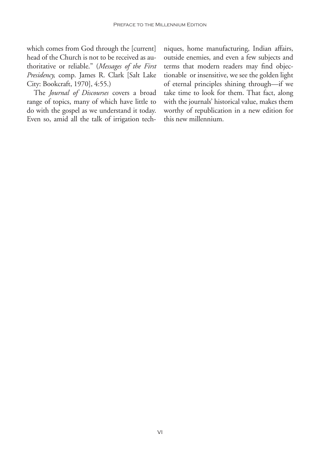which comes from God through the [current] head of the Church is not to be received as authoritative or reliable." (*Messages of the First Presidency,* comp. James R. Clark [Salt Lake City: Bookcraft, 1970], 4:55.)

The *Journal of Discourses* covers a broad range of topics, many of which have little to do with the gospel as we understand it today. Even so, amid all the talk of irrigation techniques, home manufacturing, Indian affairs, outside enemies, and even a few subjects and terms that modern readers may find objectionable or insensitive, we see the golden light of eternal principles shining through—if we take time to look for them. That fact, along with the journals' historical value, makes them worthy of republication in a new edition for this new millennium.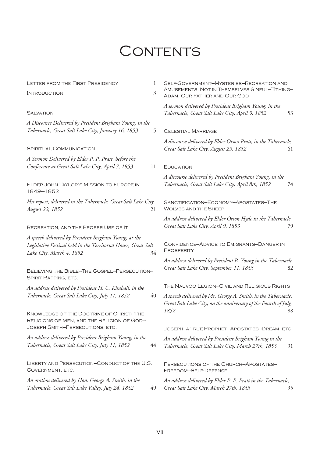## CONTENTS

| <b>LETTER FROM THE FIRST PRESIDENCY</b>                                                                                                             | 1  | SELF-GOVERNMENT-MYSTERIES-RECREATION AND                                                                                                 |    |
|-----------------------------------------------------------------------------------------------------------------------------------------------------|----|------------------------------------------------------------------------------------------------------------------------------------------|----|
| <b>INTRODUCTION</b>                                                                                                                                 | 3  | AMUSEMENTS, NOT IN THEMSELVES SINFUL—TITHING—<br>ADAM, OUR FATHER AND OUR GOD                                                            |    |
| <b>SALVATION</b>                                                                                                                                    |    | A sermon delivered by President Brigham Young, in the<br>Tabernacle, Great Salt Lake City, April 9, 1852                                 | 53 |
| A Discourse Delivered by President Brigham Young, in the<br>Tabernacle, Great Salt Lake City, January 16, 1853                                      | 5  | <b>CELESTIAL MARRIAGE</b>                                                                                                                |    |
| <b>SPIRITUAL COMMUNICATION</b>                                                                                                                      |    | A discourse delivered by Elder Orson Pratt, in the Tabernacle,<br>Great Salt Lake City, August 29, 1852                                  | 61 |
| A Sermon Delivered by Elder P. P. Pratt, before the<br>Conference at Great Salt Lake City, April 7, 1853                                            | 11 | <b>EDUCATION</b>                                                                                                                         |    |
| ELDER JOHN TAYLOR'S MISSION TO EUROPE IN<br>1849-1852                                                                                               |    | A discourse delivered by President Brigham Young, in the<br>Tabernacle, Great Salt Lake City, April 8th, 1852                            | 74 |
| His report, delivered in the Tabernacle, Great Salt Lake City,<br>August 22, 1852                                                                   | 21 | SANCTIFICATION-ECONOMY-APOSTATES-THE<br><b>WOLVES AND THE SHEEP</b>                                                                      |    |
| RECREATION, AND THE PROPER USE OF IT                                                                                                                |    | An address delivered by Elder Orson Hyde in the Tabernacle,<br>Great Salt Lake City, April 9, 1853                                       | 79 |
| A speech delivered by President Brigham Young, at the<br>Legislative Festival held in the Territorial House, Great Salt<br>Lake City, March 4, 1852 | 34 | <b>CONFIDENCE-ADVICE TO EMIGRANTS-DANGER IN</b><br>PROSPERITY                                                                            |    |
| BELIEVING THE BIBLE-THE GOSPEL-PERSECUTION-<br>SPIRIT-RAPPING, ETC.                                                                                 |    | An address delivered by President B. Young in the Tabernacle<br>Great Salt Lake City, September 11, 1853                                 | 82 |
| An address delivered by President H. C. Kimball, in the                                                                                             |    | THE NAUVOO LEGION-CIVIL AND RELIGIOUS RIGHTS                                                                                             |    |
| Tabernacle, Great Salt Lake City, July 11, 1852                                                                                                     | 40 | A speech delivered by Mr. George A. Smith, in the Tabernacle,<br>Great Salt Lake City, on the anniversary of the Fourth of July,<br>1852 | 88 |
| KNOWLEDGE OF THE DOCTRINE OF CHRIST-THE<br>RELIGIONS OF MEN, AND THE RELIGION OF GOD-<br>JOSEPH SMITH-PERSECUTIONS, ETC.                            |    | JOSEPH, A TRUE PROPHET-APOSTATES-DREAM, ETC.                                                                                             |    |
| An address delivered by President Brigham Young, in the<br>Tabernacle, Great Salt Lake City, July 11, 1852                                          | 44 | An address delivered by President Brigham Young in the<br>Tabernacle, Great Salt Lake City, March 27th, 1853                             | 91 |
| LIBERTY AND PERSECUTION-CONDUCT OF THE U.S.<br>GOVERNMENT, ETC.                                                                                     |    | PERSECUTIONS OF THE CHURCH-APOSTATES-<br>FREEDOM-SELF-DEFENSE                                                                            |    |
| An oration delivered by Hon. George A. Smith, in the<br>Tabernacle, Great Salt Lake Valley, July 24, 1852                                           | 49 | An address delivered by Elder P. P. Pratt in the Tabernacle,<br>Great Salt Lake City, March 27th, 1853                                   | 95 |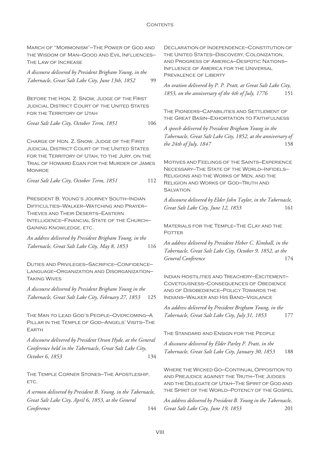#### CONTENTS

| MARCH OF "MORMONISM"-THE POWER OF GOD AND<br>THE WISDOM OF MAN-GOOD AND EVIL INFLUENCES-<br>THE LAW OF INCREASE                                     | DECLARATION OF INDEPENDENCE-CONSTITUTION OF<br>THE UNITED STATES-DISCOVERY, COLONIZATION,<br>AND PROGRESS OF AMERICA-DESPOTIC NATIONS-<br>INFLUENCE OF AMERICA FOR THE UNIVERSAL             |  |
|-----------------------------------------------------------------------------------------------------------------------------------------------------|----------------------------------------------------------------------------------------------------------------------------------------------------------------------------------------------|--|
| A discourse delivered by President Brigham Young, in the                                                                                            | PREVALENCE OF LIBERTY                                                                                                                                                                        |  |
| Tabernacle, Great Salt Lake City, June 13th, 1852<br>99                                                                                             | An oration delivered by P. P. Pratt, at Great Salt Lake City,<br>1853, on the anniversary of the 4th of July, 1776<br>151                                                                    |  |
| BEFORE THE HON. Z. SNOW, JUDGE OF THE FIRST                                                                                                         |                                                                                                                                                                                              |  |
| <b>JUDICIAL DISTRICT COURT OF THE UNITED STATES</b><br>FOR THE TERRITORY OF UTAH                                                                    | THE PIONEERS-CAPABILITIES AND SETTLEMENT OF<br>THE GREAT BASIN-EXHORTATION TO FAITHFULNESS                                                                                                   |  |
| Great Salt Lake City, October Term, 1851<br>106                                                                                                     | A speech delivered by President Brigham Young in the                                                                                                                                         |  |
|                                                                                                                                                     | Tabernacle, Great Salt Lake City, 1852, at the anniversary of                                                                                                                                |  |
| CHARGE OF HON. Z. SNOW, JUDGE OF THE FIRST<br><b>JUDICIAL DISTRICT COURT OF THE UNITED STATES</b><br>FOR THE TERRITORY OF UTAH, TO THE JURY, ON THE | the 24th of July, 1847<br>158                                                                                                                                                                |  |
| TRIAL OF HOWARD EGAN FOR THE MURDER OF JAMES<br><b>MONROE</b>                                                                                       | <b>MOTIVES AND FEELINGS OF THE SAINTS-EXPERIENCE</b><br>NECESSARY-THE STATE OF THE WORLD-INFIDELS-                                                                                           |  |
| Great Salt Lake City, October Term, 1851<br>112                                                                                                     | RELIGIONS AND THE WORKS OF MEN, AND THE<br><b>RELIGION AND WORKS OF GOD-TRUTH AND</b><br><b>SALVATION</b>                                                                                    |  |
| PRESIDENT B. YOUNG'S JOURNEY SOUTH-INDIAN<br>DIFFICULTIES-WALKER-WATCHING AND PRAYER-<br>THIEVES AND THEIR DESERTS-EASTERN                          | A discourse delivered by Elder John Taylor, in the Tabernacle,<br>Great Salt Lake City, June 12, 1853<br>161                                                                                 |  |
| INTELLIGENCE-FINANCIAL STATE OF THE CHURCH-<br><b>GAINING KNOWLEDGE, ETC.</b>                                                                       | MATERIALS FOR THE TEMPLE-THE CLAY AND THE                                                                                                                                                    |  |
| An address delivered by President Brigham Young, in the                                                                                             | <b>POTTER</b>                                                                                                                                                                                |  |
| Tabernacle, Great Salt Lake City, May 8, 1853<br>116                                                                                                | An address delivered by President Heber C. Kimball, in the                                                                                                                                   |  |
|                                                                                                                                                     | Tabernacle, Great Salt Lake City, October 9, 1852, at the<br>General Conference<br>174                                                                                                       |  |
| DUTIES AND PRIVILEGES-SACRIFICE-CONFIDENCE-<br>LANGUAGE-ORGANIZATION AND DISORGANIZATION-<br><b>TAKING WIVES</b>                                    | INDIAN HOSTILITIES AND TREACHERY-EXCITEMENT-                                                                                                                                                 |  |
| A discourse delivered by President Brigham Young in the<br>Tabernacle, Great Salt Lake City, February 27, 1853<br>125                               | <b>COVETOUSNESS-CONSEQUENCES OF OBEDIENCE</b><br>AND OF DISOBEDIENCE-POLICY TOWARDS THE<br>INDIANS-WALKER AND HIS BAND-VIGILANCE                                                             |  |
| THE MAN TO LEAD GOD'S PEOPLE-OVERCOMING-A                                                                                                           | An address delivered by President Brigham Young, in the<br>Tabernacle, Great Salt Lake City, July 31, 1853<br>177                                                                            |  |
| PILLAR IN THE TEMPLE OF GOD-ANGELS' VISITS-THE<br>EARTH                                                                                             |                                                                                                                                                                                              |  |
| A discourse delivered by President Orson Hyde, at the General                                                                                       | THE STANDARD AND ENSIGN FOR THE PEOPLE                                                                                                                                                       |  |
| Conference held in the Tabernacle, Great Salt Lake City,<br>October 6, 1853<br>134                                                                  | A discourse delivered by Elder Parley P. Pratt, in the<br>Tabernacle, Great Salt Lake City, January 30, 1853<br>188                                                                          |  |
| THE TEMPLE CORNER STONES-THE APOSTLESHIP,<br>ETC.                                                                                                   | WHERE THE WICKED GO-CONTINUAL OPPOSITION TO<br>AND PREJUDICE AGAINST THE TRUTH-THE JUDGES<br>AND THE DELEGATE OF UTAH-THE SPIRIT OF GOD AND<br>THE SPIRIT OF THE WORLD-POTENCY OF THE GOSPEL |  |
| A sermon delivered by President B. Young, in the Tabernacle,<br>Great Salt Lake City, April 6, 1853, at the General                                 |                                                                                                                                                                                              |  |
| Conference<br>144                                                                                                                                   | An address delivered by President B. Young in the Tabernacle,<br>Great Salt Lake City, June 19, 1853<br>201                                                                                  |  |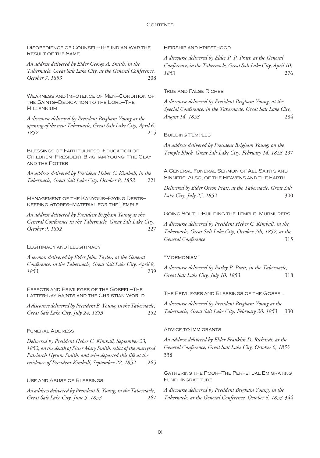Disobedience of Counsel—The Indian War the Result of the Same

*An address delivered by Elder George A. Smith, in the Tabernacle, Great Salt Lake City, at the General Conference, October 7, 1853* 208

Weakness and Impotence of Men—Condition of the Saints—Dedication to the Lord—The Millennium

*A discourse delivered by President Brigham Young at the opening of the new Tabernacle, Great Salt Lake City, April 6, 1852* 215

Blessings of Faithfulness—Education of Children—President Brigham Young—The Clay and the Potter

*An address delivered by President Heber C. Kimball, in the Tabernacle, Great Salt Lake City, October 8, 1852* 221

Management of the Kanyons—Paying Debts— Keeping Stores—Material for the Temple

*An address delivered by President Brigham Young at the General Conference in the Tabernacle, Great Salt Lake City, October 9, 1852* 227

Legitimacy and Illegitimacy

*A sermon delivered by Elder John Taylor, at the General Conference, in the Tabernacle, Great Salt Lake City, April 8, 1853* 239

Effects and Privileges of the Gospel—The Latter-Day Saints and the Christian World

*A discourse delivered by President B. Young, in the Tabernacle, Great Salt Lake City, July 24, 1853* 252

#### Funeral Address

*Delivered by President Heber C. Kimball, September 23, 1852, on the death of Sister Mary Smith, relict of the martyred Patriarch Hyrum Smith, and who departed this life at the residence of President Kimball, September 22, 1852* 265

#### Use and Abuse of Blessings

*An address delivered by President B. Young, in the Tabernacle, Great Salt Lake City, June 5, 1853* 267 Heirship and Priesthood

*A discourse delivered by Elder P. P. Pratt, at the General Conference, in the Tabernacle, Great Salt Lake City, April 10, 1853* 276

#### True and False Riches

*A discourse delivered by President Brigham Young, at the Special Conference, in the Tabernacle, Great Salt Lake City, August 14, 1853* 284

#### Building Temples

*An address delivered by President Brigham Young, on the Temple Block, Great Salt Lake City, February 14, 1853* 297

A General Funeral Sermon of All Saints and Sinners; Also, of the Heavens and the Earth

*Delivered by Elder Orson Pratt, at the Tabernacle, Great Salt Lake City, July 25, 1852* 300

Going South—Building the Temple—Murmurers

*A discourse delivered by President Heber C. Kimball, in the Tabernacle, Great Salt Lake City, October 7th, 1852, at the General Conference* 315

#### "Mormonism"

*A discourse delivered by Parley P. Pratt, in the Tabernacle, Great Salt Lake City, July 10, 1853* 318

The Privileges and Blessings of the Gospel

*A discourse delivered by President Brigham Young at the Tabernacle, Great Salt Lake City, February 20, 1853* 330

#### Advice to Immigrants

*An address delivered by Elder Franklin D. Richards, at the General Conference, Great Salt Lake City, October 6, 1853* 338

Gathering the Poor—The Perpetual Emigrating Fund—Ingratitude

*A discourse delivered by President Brigham Young, in the Tabernacle, at the General Conference, October 6, 1853* 344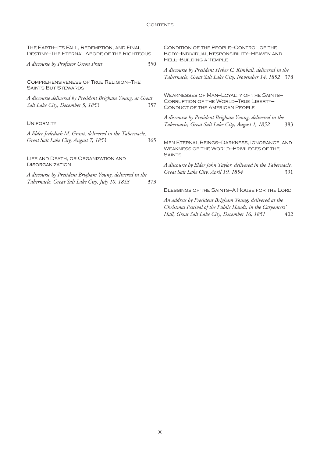| THE EARTH-ITS FALL, REDEMPTION, AND FINAL<br><b>DESTINY-THE ETERNAL ABODE OF THE RIGHTEOUS</b>              |     | CONDITION OF THE PEOPLE-CONTROL OF THE<br>BODY-INDIVIDUAL RESPONSIBILITY-HEAVEN AND<br><b>HELL-BUILDING A TEMPLE</b>                     |  |
|-------------------------------------------------------------------------------------------------------------|-----|------------------------------------------------------------------------------------------------------------------------------------------|--|
| A discourse by Professor Orson Pratt                                                                        | 350 |                                                                                                                                          |  |
|                                                                                                             |     | A discourse by President Heber C. Kimball, delivered in the<br>Tabernacle, Great Salt Lake City, November 14, 1852 378                   |  |
| <b>COMPREHENSIVENESS OF TRUE RELIGION-THE</b><br><b>SAINTS BUT STEWARDS</b>                                 |     |                                                                                                                                          |  |
| A discourse delivered by President Brigham Young, at Great<br>Salt Lake City, December 5, 1853              | 357 | <b>WEAKNESSES OF MAN-LOYALTY OF THE SAINTS-</b><br><b>CORRUPTION OF THE WORLD-TRUE LIBERTY-</b><br><b>CONDUCT OF THE AMERICAN PEOPLE</b> |  |
| <b>UNIFORMITY</b>                                                                                           |     | A discourse by President Brigham Young, delivered in the<br>Tabernacle, Great Salt Lake City, August 1, 1852<br>383                      |  |
| A Elder Jedediah M. Grant, delivered in the Tabernacle,                                                     |     |                                                                                                                                          |  |
| Great Salt Lake City, August 7, 1853                                                                        | 365 | MEN ETERNAL BEINGS-DARKNESS, IGNORANCE, AND<br><b>WEAKNESS OF THE WORLD-PRIVILEGES OF THE</b>                                            |  |
| LIFE AND DEATH, OR ORGANIZATION AND                                                                         |     | <b>SAINTS</b>                                                                                                                            |  |
| <b>DISORGANIZATION</b>                                                                                      |     | A discourse by Elder John Taylor, delivered in the Tabernacle,                                                                           |  |
| A discourse by President Brigham Young, delivered in the<br>Tabernacle, Great Salt Lake City, July 10, 1853 | 373 | Great Salt Lake City, April 19, 1854<br>391                                                                                              |  |
|                                                                                                             |     | BLESSINGS OF THE SAINTS-A HOUSE FOR THE LORD                                                                                             |  |
|                                                                                                             |     | An address by President Brigham Young, delivered at the                                                                                  |  |

*Christmas Festival of the Public Hands, in the Carpenters' Hall, Great Salt Lake City, December 16, 1851* 402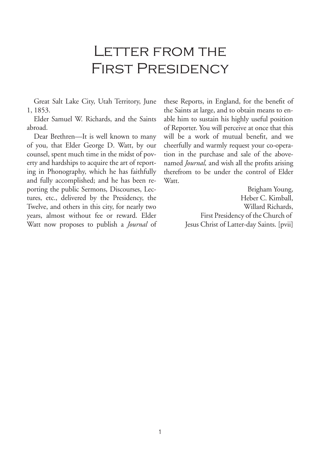### LETTER FROM THE First Presidency

Great Salt Lake City, Utah Territory, June 1, 1853.

Elder Samuel W. Richards, and the Saints abroad.

Dear Brethren—It is well known to many of you, that Elder George D. Watt, by our counsel, spent much time in the midst of poverty and hardships to acquire the art of reporting in Phonography, which he has faithfully and fully accomplished; and he has been reporting the public Sermons, Discourses, Lectures, etc., delivered by the Presidency, the Twelve, and others in this city, for nearly two years, almost without fee or reward. Elder Watt now proposes to publish a *Journal* of

these Reports, in England, for the benefit of the Saints at large, and to obtain means to enable him to sustain his highly useful position of Reporter. You will perceive at once that this will be a work of mutual benefit, and we cheerfully and warmly request your co-operation in the purchase and sale of the abovenamed *Journal,* and wish all the profits arising therefrom to be under the control of Elder Watt.

> Brigham Young, Heber C. Kimball, Willard Richards, First Presidency of the Church of Jesus Christ of Latter-day Saints. [pvii]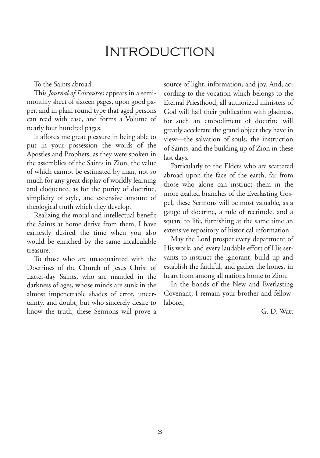### Introduction

To the Saints abroad.

This *Journal of Discourses* appears in a semimonthly sheet of sixteen pages, upon good paper, and in plain round type that aged persons can read with ease, and forms a Volume of nearly four hundred pages.

It affords me great pleasure in being able to put in your possession the words of the Apostles and Prophets, as they were spoken in the assemblies of the Saints in Zion, the value of which cannot be estimated by man, not so much for any great display of worldly learning and eloquence, as for the purity of doctrine, simplicity of style, and extensive amount of theological truth which they develop.

Realizing the moral and intellectual benefit the Saints at home derive from them, I have earnestly desired the time when you also would be enriched by the same incalculable treasure.

To those who are unacquainted with the Doctrines of the Church of Jesus Christ of Latter-day Saints, who are mantled in the darkness of ages, whose minds are sunk in the almost impenetrable shades of error, uncertainty, and doubt, but who sincerely desire to know the truth, these Sermons will prove a source of light, information, and joy. And, according to the vocation which belongs to the Eternal Priesthood, all authorized ministers of God will hail their publication with gladness, for such an embodiment of doctrine will greatly accelerate the grand object they have in view—the salvation of souls, the instruction of Saints, and the building up of Zion in these last days.

Particularly to the Elders who are scattered abroad upon the face of the earth, far from those who alone can instruct them in the more exalted branches of the Everlasting Gospel, these Sermons will be most valuable, as a gauge of doctrine, a rule of rectitude, and a square to life, furnishing at the same time an extensive repository of historical information.

May the Lord prosper every department of His work, and every laudable effort of His servants to instruct the ignorant, build up and establish the faithful, and gather the honest in heart from among all nations home to Zion.

In the bonds of the New and Everlasting Covenant, I remain your brother and fellowlaborer,

G. D. Watt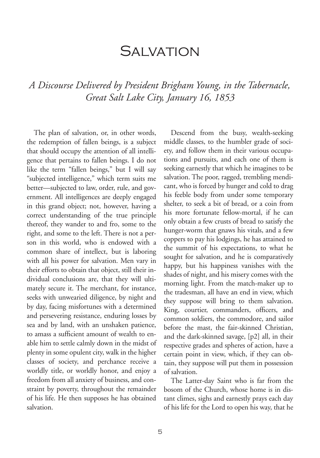### SAI VATION

### *A Discourse Delivered by President Brigham Young, in the Tabernacle, Great Salt Lake City, January 16, 1853*

The plan of salvation, or, in other words, the redemption of fallen beings, is a subject that should occupy the attention of all intelligence that pertains to fallen beings. I do not like the term "fallen beings," but I will say "subjected intelligence," which term suits me better—subjected to law, order, rule, and government. All intelligences are deeply engaged in this grand object; not, however, having a correct understanding of the true principle thereof, they wander to and fro, some to the right, and some to the left. There is not a person in this world, who is endowed with a common share of intellect, but is laboring with all his power for salvation. Men vary in their efforts to obtain that object, still their individual conclusions are, that they will ultimately secure it. The merchant, for instance, seeks with unwearied diligence, by night and by day, facing misfortunes with a determined and persevering resistance, enduring losses by sea and by land, with an unshaken patience, to amass a sufficient amount of wealth to enable him to settle calmly down in the midst of plenty in some opulent city, walk in the higher classes of society, and perchance receive a worldly title, or worldly honor, and enjoy a freedom from all anxiety of business, and constraint by poverty, throughout the remainder of his life. He then supposes he has obtained salvation.

Descend from the busy, wealth-seeking middle classes, to the humbler grade of society, and follow them in their various occupations and pursuits, and each one of them is seeking earnestly that which he imagines to be salvation. The poor, ragged, trembling mendicant, who is forced by hunger and cold to drag his feeble body from under some temporary shelter, to seek a bit of bread, or a coin from his more fortunate fellow-mortal, if he can only obtain a few crusts of bread to satisfy the hunger-worm that gnaws his vitals, and a few coppers to pay his lodgings, he has attained to the summit of his expectations, to what he sought for salvation, and he is comparatively happy, but his happiness vanishes with the shades of night, and his misery comes with the morning light. From the match-maker up to the tradesman, all have an end in view, which they suppose will bring to them salvation. King, courtier, commanders, officers, and common soldiers, the commodore, and sailor before the mast, the fair-skinned Christian, and the dark-skinned savage, [p2] all, in their respective grades and spheres of action, have a certain point in view, which, if they can obtain, they suppose will put them in possession of salvation.

The Latter-day Saint who is far from the bosom of the Church, whose home is in distant climes, sighs and earnestly prays each day of his life for the Lord to open his way, that he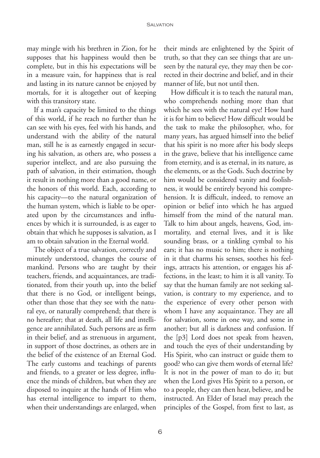may mingle with his brethren in Zion, for he supposes that his happiness would then be complete, but in this his expectations will be in a measure vain, for happiness that is real and lasting in its nature cannot be enjoyed by mortals, for it is altogether out of keeping with this transitory state.

If a man's capacity be limited to the things of this world, if he reach no further than he can see with his eyes, feel with his hands, and understand with the ability of the natural man, still he is as earnestly engaged in securing his salvation, as others are, who possess a superior intellect, and are also pursuing the path of salvation, in their estimation, though it result in nothing more than a good name, or the honors of this world. Each, according to his capacity—to the natural organization of the human system, which is liable to be operated upon by the circumstances and influences by which it is surrounded, is as eager to obtain that which he supposes is salvation, as I am to obtain salvation in the Eternal world.

The object of a true salvation, correctly and minutely understood, changes the course of mankind. Persons who are taught by their teachers, friends, and acquaintances, are traditionated, from their youth up, into the belief that there is no God, or intelligent beings, other than those that they see with the natural eye, or naturally comprehend; that there is no hereafter; that at death, all life and intelligence are annihilated. Such persons are as firm in their belief, and as strenuous in argument, in support of those doctrines, as others are in the belief of the existence of an Eternal God. The early customs and teachings of parents and friends, to a greater or less degree, influence the minds of children, but when they are disposed to inquire at the hands of Him who has eternal intelligence to impart to them, when their understandings are enlarged, when

their minds are enlightened by the Spirit of truth, so that they can see things that are unseen by the natural eye, they may then be corrected in their doctrine and belief, and in their manner of life, but not until then.

How difficult it is to teach the natural man, who comprehends nothing more than that which he sees with the natural eye! How hard it is for him to believe! How difficult would be the task to make the philosopher, who, for many years, has argued himself into the belief that his spirit is no more after his body sleeps in the grave, believe that his intelligence came from eternity, and is as eternal, in its nature, as the elements, or as the Gods. Such doctrine by him would be considered vanity and foolishness, it would be entirely beyond his comprehension. It is difficult, indeed, to remove an opinion or belief into which he has argued himself from the mind of the natural man. Talk to him about angels, heavens, God, immortality, and eternal lives, and it is like sounding brass, or a tinkling cymbal to his ears; it has no music to him; there is nothing in it that charms his senses, soothes his feelings, attracts his attention, or engages his affections, in the least; to him it is all vanity. To say that the human family are not seeking salvation, is contrary to my experience, and to the experience of every other person with whom I have any acquaintance. They are all for salvation, some in one way, and some in another; but all is darkness and confusion. If the [p3] Lord does not speak from heaven, and touch the eyes of their understanding by His Spirit, who can instruct or guide them to good? who can give them words of eternal life? It is not in the power of man to do it; but when the Lord gives His Spirit to a person, or to a people, they can then hear, believe, and be instructed. An Elder of Israel may preach the principles of the Gospel, from first to last, as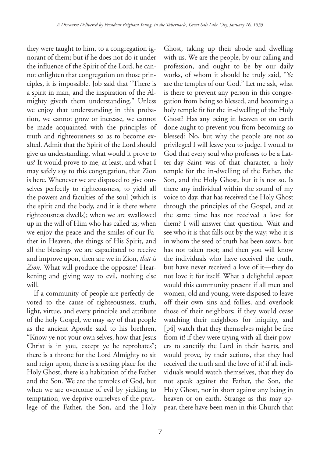they were taught to him, to a congregation ignorant of them; but if he does not do it under the influence of the Spirit of the Lord, he cannot enlighten that congregation on those principles, it is impossible. Job said that "There is a spirit in man, and the inspiration of the Almighty giveth them understanding." Unless we enjoy that understanding in this probation, we cannot grow or increase, we cannot be made acquainted with the principles of truth and righteousness so as to become exalted. Admit that the Spirit of the Lord should give us understanding, what would it prove to us? It would prove to me, at least, and what I may safely say to this congregation, that Zion is here. Whenever we are disposed to give ourselves perfectly to righteousness, to yield all the powers and faculties of the soul (which is the spirit and the body, and it is there where righteousness dwells); when we are swallowed up in the will of Him who has called us; when we enjoy the peace and the smiles of our Father in Heaven, the things of His Spirit, and all the blessings we are capacitated to receive and improve upon, then are we in Zion, *that is Zion.* What will produce the opposite? Hearkening and giving way to evil, nothing else will.

If a community of people are perfectly devoted to the cause of righteousness, truth, light, virtue, and every principle and attribute of the holy Gospel, we may say of that people as the ancient Apostle said to his brethren, "Know ye not your own selves, how that Jesus Christ is in you, except ye be reprobates"; there is a throne for the Lord Almighty to sit and reign upon, there is a resting place for the Holy Ghost, there is a habitation of the Father and the Son. We are the temples of God, but when we are overcome of evil by yielding to temptation, we deprive ourselves of the privilege of the Father, the Son, and the Holy Ghost, taking up their abode and dwelling with us. We are the people, by our calling and profession, and ought to be by our daily works, of whom it should be truly said, "Ye are the temples of our God." Let me ask, what is there to prevent any person in this congregation from being so blessed, and becoming a holy temple fit for the in-dwelling of the Holy Ghost? Has any being in heaven or on earth done aught to prevent you from becoming so blessed? No, but why the people are not so privileged I will leave you to judge. I would to God that every soul who professes to be a Latter-day Saint was of that character, a holy temple for the in-dwelling of the Father, the Son, and the Holy Ghost, but it is not so. Is there any individual within the sound of my voice to day, that has received the Holy Ghost through the principles of the Gospel, and at the same time has not received a love for them? I will answer that question. Wait and see who it is that falls out by the way; who it is in whom the seed of truth has been sown, but has not taken root; and then you will know the individuals who have received the truth, but have never received a love of it—they do not love it for itself. What a delightful aspect would this community present if all men and women, old and young, were disposed to leave off their own sins and follies, and overlook those of their neighbors; if they would cease watching their neighbors for iniquity, and [p4] watch that they themselves might be free from it! if they were trying with all their powers to sanctify the Lord in their hearts, and would prove, by their actions, that they had received the truth and the love of it! if all individuals would watch themselves, that they do not speak against the Father, the Son, the Holy Ghost, nor in short against any being in heaven or on earth. Strange as this may appear, there have been men in this Church that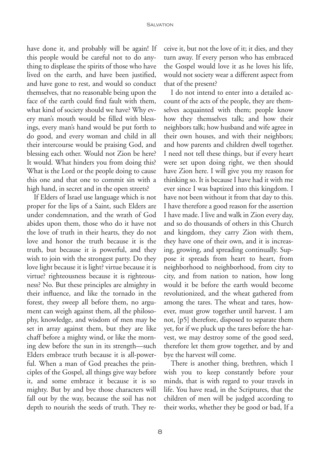have done it, and probably will be again! If this people would be careful not to do anything to displease the spirits of those who have lived on the earth, and have been justified, and have gone to rest, and would so conduct themselves, that no reasonable being upon the face of the earth could find fault with them, what kind of society should we have? Why every man's mouth would be filled with blessings, every man's hand would be put forth to do good, and every woman and child in all their intercourse would be praising God, and blessing each other. Would not Zion be here? It would. What hinders you from doing this? What is the Lord or the people doing to cause this one and that one to commit sin with a high hand, in secret and in the open streets?

If Elders of Israel use language which is not proper for the lips of a Saint, such Elders are under condemnation, and the wrath of God abides upon them, those who do it have not the love of truth in their hearts, they do not love and honor the truth because it is the truth, but because it is powerful, and they wish to join with the strongest party. Do they love light because it is light? virtue because it is virtue? righteousness because it is righteousness? No. But these principles are almighty in their influence, and like the tornado in the forest, they sweep all before them, no argument can weigh against them, all the philosophy, knowledge, and wisdom of men may be set in array against them, but they are like chaff before a mighty wind, or like the morning dew before the sun in its strength—such Elders embrace truth because it is all-powerful. When a man of God preaches the principles of the Gospel, all things give way before it, and some embrace it because it is so mighty. But by and bye those characters will fall out by the way, because the soil has not depth to nourish the seeds of truth. They receive it, but not the love of it; it dies, and they turn away. If every person who has embraced the Gospel would love it as he loves his life, would not society wear a different aspect from that of the present?

I do not intend to enter into a detailed account of the acts of the people, they are themselves acquainted with them; people know how they themselves talk; and how their neighbors talk; how husband and wife agree in their own houses, and with their neighbors; and how parents and children dwell together. I need not tell these things, but if every heart were set upon doing right, we then should have Zion here. I will give you my reason for thinking so. It is because I have had it with me ever since I was baptized into this kingdom. I have not been without it from that day to this. I have therefore a good reason for the assertion I have made. I live and walk in Zion every day, and so do thousands of others in this Church and kingdom, they carry Zion with them, they have one of their own, and it is increasing, growing, and spreading continually. Suppose it spreads from heart to heart, from neighborhood to neighborhood, from city to city, and from nation to nation, how long would it be before the earth would become revolutionized, and the wheat gathered from among the tares. The wheat and tares, however, must grow together until harvest. I am not, [p5] therefore, disposed to separate them yet, for if we pluck up the tares before the harvest, we may destroy some of the good seed, therefore let them grow together, and by and bye the harvest will come.

There is another thing, brethren, which I wish you to keep constantly before your minds, that is with regard to your travels in life. You have read, in the Scriptures, that the children of men will be judged according to their works, whether they be good or bad, If a

8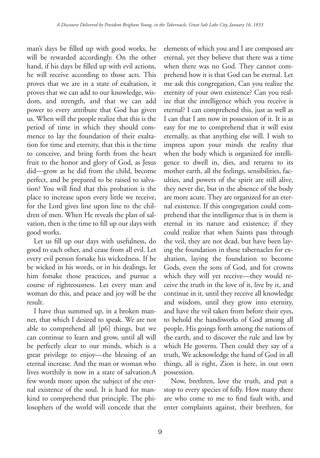man's days be filled up with good works, he will be rewarded accordingly. On the other hand, if his days be filled up with evil actions, he will receive according to those acts. This proves that we are in a state of exaltation, it proves that we can add to our knowledge, wisdom, and strength, and that we can add power to every attribute that God has given us. When will the people realize that this is the period of time in which they should commence to lay the foundation of their exaltation for time and eternity, that this is the time to conceive, and bring forth from the heart fruit to the honor and glory of God, as Jesus did—grow as he did from the child, become perfect, and be prepared to be raised to salvation? You will find that this probation is the place to increase upon every little we receive, for the Lord gives line upon line to the children of men. When He reveals the plan of salvation, then is the time to fill up our days with good works.

Let us fill up our days with usefulness, do good to each other, and cease from all evil. Let every evil person forsake his wickedness. If he be wicked in his words, or in his dealings, let him forsake those practices, and pursue a course of righteousness. Let every man and woman do this, and peace and joy will be the result.

I have thus summed up, in a broken manner, that which I desired to speak. We are not able to comprehend all [p6] things, but we can continue to learn and grow, until all will be perfectly clear to our minds, which is a great privilege to enjoy—the blessing of an eternal increase. And the man or woman who lives worthily is now in a state of salvation.A few words more upon the subject of the eternal existence of the soul. It is hard for mankind to comprehend that principle. The philosophers of the world will concede that the elements of which you and I are composed are eternal, yet they believe that there was a time when there was no God. They cannot comprehend how it is that God can be eternal. Let me ask this congregation, Can you realize the eternity of your own existence? Can you realize that the intelligence which you receive is eternal? I can comprehend this, just as well as I can that I am now in possession of it. It is as easy for me to comprehend that it will exist eternally, as that anything else will. I wish to impress upon your minds the reality that when the body which is organized for intelligence to dwell in, dies, and returns to its mother earth, all the feelings, sensibilities, faculties, and powers of the spirit are still alive, they never die, but in the absence of the body are more acute. They are organized for an eternal existence. If this congregation could comprehend that the intelligence that is in them is eternal in its nature and existence; if they could realize that when Saints pass through the veil, they are not dead, but have been laying the foundation in these tabernacles for exaltation, laying the foundation to become Gods, even the sons of God, and for crowns which they will yet receive—they would receive the truth in the love of it, live by it, and continue in it, until they receive all knowledge and wisdom, until they grow into eternity, and have the veil taken from before their eyes, to behold the handiworks of God among all people, His goings forth among the nations of the earth, and to discover the rule and law by which He governs. Then could they say of a truth, We acknowledge the hand of God in all things, all is right, Zion is here, in our own possession.

Now, brethren, love the truth, and put a stop to every species of folly. How many there are who come to me to find fault with, and enter complaints against, their brethren, for